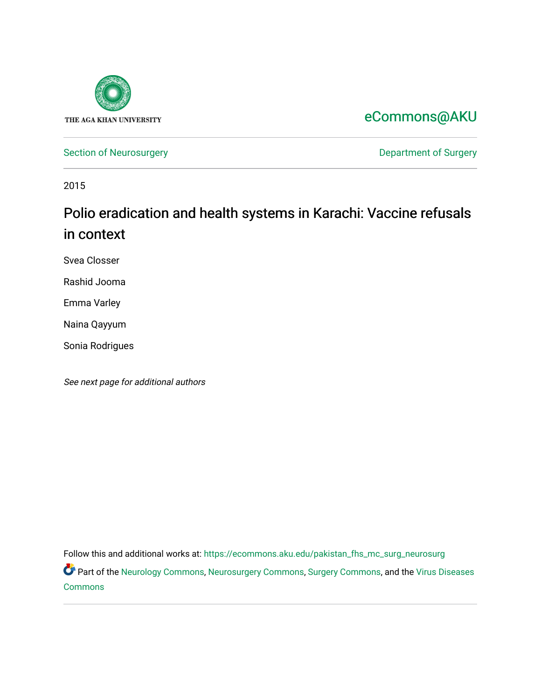

## [eCommons@AKU](https://ecommons.aku.edu/)

[Section of Neurosurgery](https://ecommons.aku.edu/pakistan_fhs_mc_surg_neurosurg) **Department of Surgery** Department of Surgery

2015

# Polio eradication and health systems in Karachi: Vaccine refusals in context

Svea Closser

Rashid Jooma

Emma Varley

Naina Qayyum

Sonia Rodrigues

See next page for additional authors

Follow this and additional works at: [https://ecommons.aku.edu/pakistan\\_fhs\\_mc\\_surg\\_neurosurg](https://ecommons.aku.edu/pakistan_fhs_mc_surg_neurosurg?utm_source=ecommons.aku.edu%2Fpakistan_fhs_mc_surg_neurosurg%2F229&utm_medium=PDF&utm_campaign=PDFCoverPages) 

Part of the [Neurology Commons](http://network.bepress.com/hgg/discipline/692?utm_source=ecommons.aku.edu%2Fpakistan_fhs_mc_surg_neurosurg%2F229&utm_medium=PDF&utm_campaign=PDFCoverPages), [Neurosurgery Commons](http://network.bepress.com/hgg/discipline/1428?utm_source=ecommons.aku.edu%2Fpakistan_fhs_mc_surg_neurosurg%2F229&utm_medium=PDF&utm_campaign=PDFCoverPages), [Surgery Commons](http://network.bepress.com/hgg/discipline/706?utm_source=ecommons.aku.edu%2Fpakistan_fhs_mc_surg_neurosurg%2F229&utm_medium=PDF&utm_campaign=PDFCoverPages), and the Virus Diseases [Commons](http://network.bepress.com/hgg/discipline/998?utm_source=ecommons.aku.edu%2Fpakistan_fhs_mc_surg_neurosurg%2F229&utm_medium=PDF&utm_campaign=PDFCoverPages)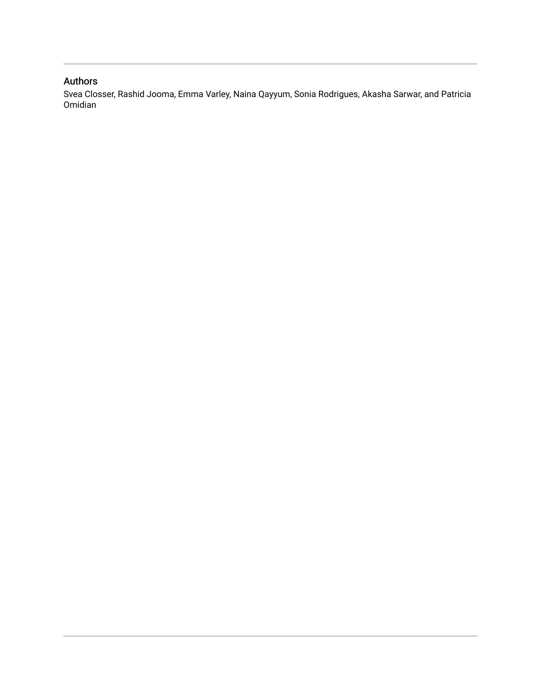## Authors

Svea Closser, Rashid Jooma, Emma Varley, Naina Qayyum, Sonia Rodrigues, Akasha Sarwar, and Patricia Omidian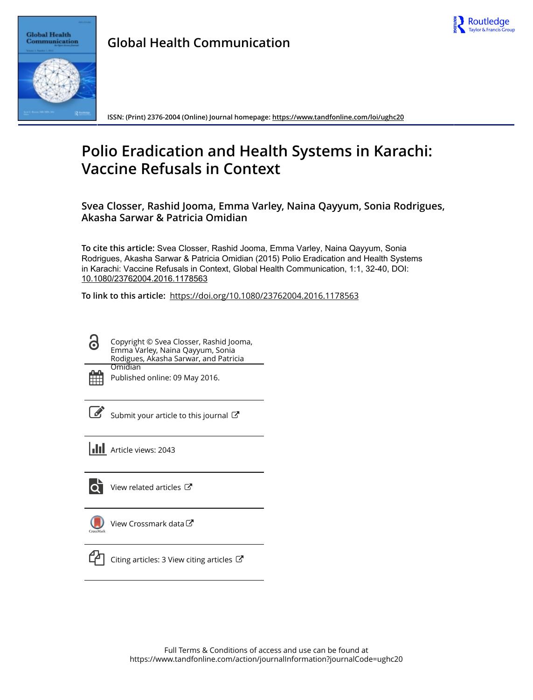



**Global Health Communication**

**ISSN: (Print) 2376-2004 (Online) Journal homepage:<https://www.tandfonline.com/loi/ughc20>**

## **Polio Eradication and Health Systems in Karachi: Vaccine Refusals in Context**

**Svea Closser, Rashid Jooma, Emma Varley, Naina Qayyum, Sonia Rodrigues, Akasha Sarwar & Patricia Omidian**

**To cite this article:** Svea Closser, Rashid Jooma, Emma Varley, Naina Qayyum, Sonia Rodrigues, Akasha Sarwar & Patricia Omidian (2015) Polio Eradication and Health Systems in Karachi: Vaccine Refusals in Context, Global Health Communication, 1:1, 32-40, DOI: [10.1080/23762004.2016.1178563](https://www.tandfonline.com/action/showCitFormats?doi=10.1080/23762004.2016.1178563)

**To link to this article:** <https://doi.org/10.1080/23762004.2016.1178563>

Copyright © Svea Closser, Rashid Jooma, Emma Varley, Naina Qayyum, Sonia Rodigues, Akasha Sarwar, and Patricia **Omidian** Published online: 09 May 2016.

 $\overline{\mathscr{L}}$  [Submit your article to this journal](https://www.tandfonline.com/action/authorSubmission?journalCode=ughc20&show=instructions)  $\mathbb{Z}$ 



lo i

ര

[View related articles](https://www.tandfonline.com/doi/mlt/10.1080/23762004.2016.1178563)  $\mathbb{Z}$ 



[View Crossmark data](http://crossmark.crossref.org/dialog/?doi=10.1080/23762004.2016.1178563&domain=pdf&date_stamp=2016-05-09)<sup>C</sup>



 $\mathbb{C}$  [Citing articles: 3 View citing articles](https://www.tandfonline.com/doi/citedby/10.1080/23762004.2016.1178563#tabModule)  $\mathbb{C}$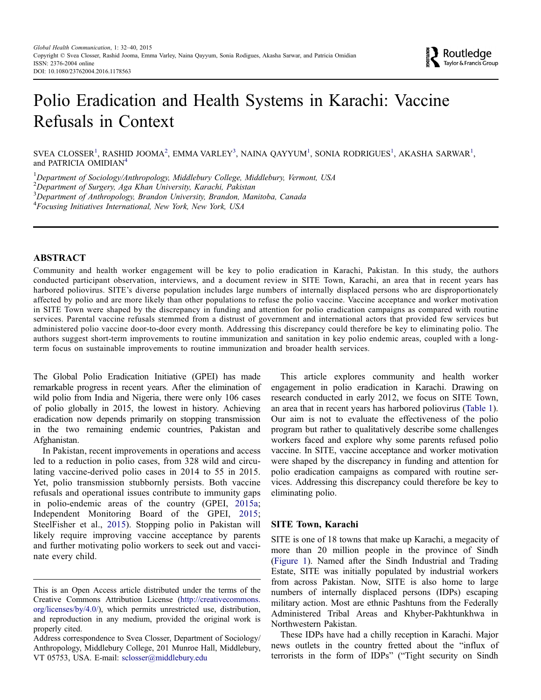# Polio Eradication and Health Systems in Karachi: Vaccine Refusals in Context

SVEA CLOSSER<sup>1</sup>, RASHID JOOMA<sup>2</sup>, EMMA VARLEY<sup>3</sup>, NAINA QAYYUM<sup>1</sup>, SONIA RODRIGUES<sup>1</sup>, AKASHA SARWAR<sup>1</sup>, and PATRICIA OMIDIAN<sup>4</sup>

<sup>1</sup>Department of Sociology/Anthropology, Middlebury College, Middlebury, Vermont, USA

<sup>2</sup>Department of Surgery, Aga Khan University, Karachi, Pakistan

<sup>3</sup>Department of Anthropology, Brandon University, Brandon, Manitoba, Canada

4 Focusing Initiatives International, New York, New York, USA

## ABSTRACT

Community and health worker engagement will be key to polio eradication in Karachi, Pakistan. In this study, the authors conducted participant observation, interviews, and a document review in SITE Town, Karachi, an area that in recent years has harbored poliovirus. SITE's diverse population includes large numbers of internally displaced persons who are disproportionately affected by polio and are more likely than other populations to refuse the polio vaccine. Vaccine acceptance and worker motivation in SITE Town were shaped by the discrepancy in funding and attention for polio eradication campaigns as compared with routine services. Parental vaccine refusals stemmed from a distrust of government and international actors that provided few services but administered polio vaccine door-to-door every month. Addressing this discrepancy could therefore be key to eliminating polio. The authors suggest short-term improvements to routine immunization and sanitation in key polio endemic areas, coupled with a longterm focus on sustainable improvements to routine immunization and broader health services.

The Global Polio Eradication Initiative (GPEI) has made remarkable progress in recent years. After the elimination of wild polio from India and Nigeria, there were only 106 cases of polio globally in 2015, the lowest in history. Achieving eradication now depends primarily on stopping transmission in the two remaining endemic countries, Pakistan and Afghanistan.

In Pakistan, recent improvements in operations and access led to a reduction in polio cases, from 328 wild and circulating vaccine-derived polio cases in 2014 to 55 in 2015. Yet, polio transmission stubbornly persists. Both vaccine refusals and operational issues contribute to immunity gaps in polio-endemic areas of the country (GPEI, [2015a](#page-11-0); Independent Monitoring Board of the GPEI, [2015](#page-11-0); SteelFisher et al., [2015\)](#page-11-0). Stopping polio in Pakistan will likely require improving vaccine acceptance by parents and further motivating polio workers to seek out and vaccinate every child.

This article explores community and health worker engagement in polio eradication in Karachi. Drawing on research conducted in early 2012, we focus on SITE Town, an area that in recent years has harbored poliovirus [\(Table 1](#page-4-0)). Our aim is not to evaluate the effectiveness of the polio program but rather to qualitatively describe some challenges workers faced and explore why some parents refused polio vaccine. In SITE, vaccine acceptance and worker motivation were shaped by the discrepancy in funding and attention for polio eradication campaigns as compared with routine services. Addressing this discrepancy could therefore be key to eliminating polio.

### SITE Town, Karachi

SITE is one of 18 towns that make up Karachi, a megacity of more than 20 million people in the province of Sindh [\(Figure 1\)](#page-4-0). Named after the Sindh Industrial and Trading Estate, SITE was initially populated by industrial workers from across Pakistan. Now, SITE is also home to large numbers of internally displaced persons (IDPs) escaping military action. Most are ethnic Pashtuns from the Federally Administered Tribal Areas and Khyber-Pakhtunkhwa in Northwestern Pakistan.

These IDPs have had a chilly reception in Karachi. Major news outlets in the country fretted about the "influx of terrorists in the form of IDPs" ("Tight security on Sindh

This is an Open Access article distributed under the terms of the Creative Commons Attribution License [\(http://creativecommons.](http://creativecommons.org/licenses/by/4.0/) [org/licenses/by/4.0/](http://creativecommons.org/licenses/by/4.0/)), which permits unrestricted use, distribution, and reproduction in any medium, provided the original work is properly cited.

Address correspondence to Svea Closser, Department of Sociology/ Anthropology, Middlebury College, 201 Munroe Hall, Middlebury, VT 05753, USA. E-mail: sclosser@middlebury.edu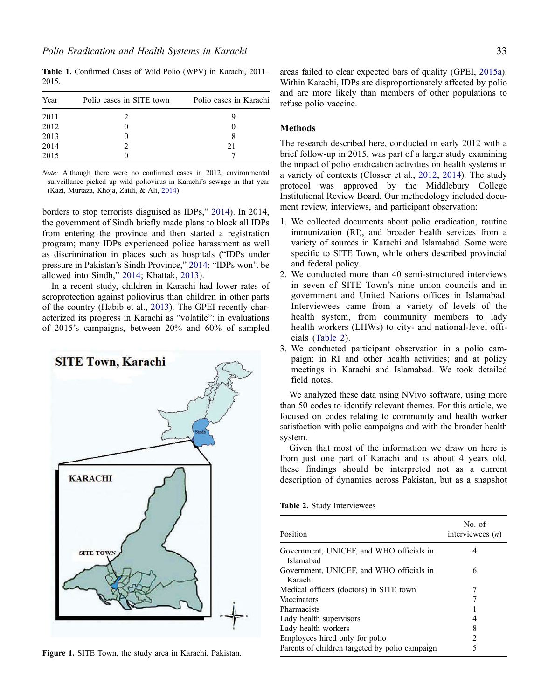<span id="page-4-0"></span>Table 1. Confirmed Cases of Wild Polio (WPV) in Karachi, 2011– 2015.

| Year | Polio cases in SITE town | Polio cases in Karachi |
|------|--------------------------|------------------------|
| 2011 |                          |                        |
| 2012 |                          |                        |
| 2013 |                          |                        |
| 2014 |                          | 21                     |
| 2015 |                          |                        |

Note: Although there were no confirmed cases in 2012, environmental surveillance picked up wild poliovirus in Karachi's sewage in that year (Kazi, Murtaza, Khoja, Zaidi, & Ali, [2014\)](#page-11-0).

borders to stop terrorists disguised as IDPs," [2014](#page-11-0)). In 2014, the government of Sindh briefly made plans to block all IDPs from entering the province and then started a registration program; many IDPs experienced police harassment as well as discrimination in places such as hospitals ("IDPs under pressure in Pakistan's Sindh Province," [2014;](#page-11-0) "IDPs won't be allowed into Sindh," [2014](#page-11-0); Khattak, [2013](#page-11-0)).

In a recent study, children in Karachi had lower rates of seroprotection against poliovirus than children in other parts of the country (Habib et al., [2013\)](#page-11-0). The GPEI recently characterized its progress in Karachi as "volatile": in evaluations of 2015's campaigns, between 20% and 60% of sampled



Figure 1. SITE Town, the study area in Karachi, Pakistan.

areas failed to clear expected bars of quality (GPEI, [2015a](#page-11-0)). Within Karachi, IDPs are disproportionately affected by polio and are more likely than members of other populations to refuse polio vaccine.

### Methods

The research described here, conducted in early 2012 with a brief follow-up in 2015, was part of a larger study examining the impact of polio eradication activities on health systems in a variety of contexts (Closser et al., [2012,](#page-10-0) [2014\)](#page-10-0). The study protocol was approved by the Middlebury College Institutional Review Board. Our methodology included document review, interviews, and participant observation:

- 1. We collected documents about polio eradication, routine immunization (RI), and broader health services from a variety of sources in Karachi and Islamabad. Some were specific to SITE Town, while others described provincial and federal policy.
- 2. We conducted more than 40 semi-structured interviews in seven of SITE Town's nine union councils and in government and United Nations offices in Islamabad. Interviewees came from a variety of levels of the health system, from community members to lady health workers (LHWs) to city- and national-level officials (Table 2).
- 3. We conducted participant observation in a polio campaign; in RI and other health activities; and at policy meetings in Karachi and Islamabad. We took detailed field notes.

We analyzed these data using NVivo software, using more than 50 codes to identify relevant themes. For this article, we focused on codes relating to community and health worker satisfaction with polio campaigns and with the broader health system.

Given that most of the information we draw on here is from just one part of Karachi and is about 4 years old, these findings should be interpreted not as a current description of dynamics across Pakistan, but as a snapshot

Table 2. Study Interviewees

| Position                                                     | No. of<br>interviewees $(n)$ |
|--------------------------------------------------------------|------------------------------|
| Government, UNICEF, and WHO officials in<br><b>Islamabad</b> |                              |
| Government, UNICEF, and WHO officials in<br>Karachi          | 6                            |
| Medical officers (doctors) in SITE town                      |                              |
| Vaccinators                                                  |                              |
| Pharmacists                                                  |                              |
| Lady health supervisors                                      | 4                            |
| Lady health workers                                          | 8                            |
| Employees hired only for polio                               | $\mathfrak{D}$               |
| Parents of children targeted by polio campaign               | 5                            |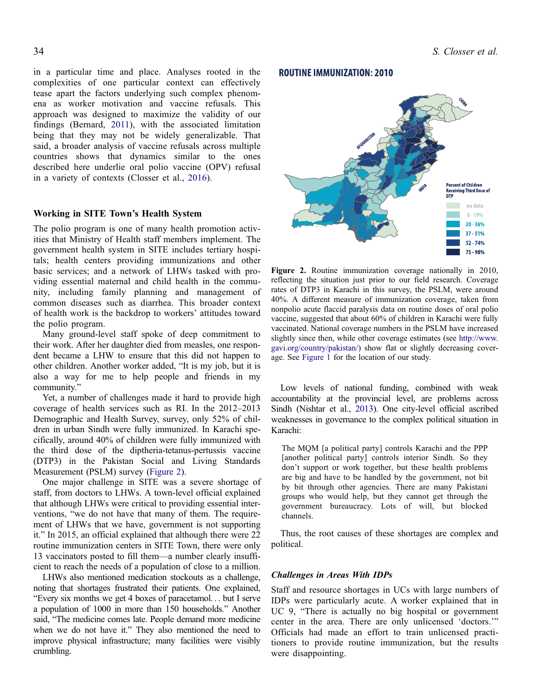<span id="page-5-0"></span>

in a particular time and place. Analyses rooted in the complexities of one particular context can effectively tease apart the factors underlying such complex phenomena as worker motivation and vaccine refusals. This approach was designed to maximize the validity of our findings (Bernard, [2011\)](#page-10-0), with the associated limitation being that they may not be widely generalizable. That said, a broader analysis of vaccine refusals across multiple countries shows that dynamics similar to the ones described here underlie oral polio vaccine (OPV) refusal in a variety of contexts (Closser et al., [2016](#page-10-0)).

## Working in SITE Town's Health System

The polio program is one of many health promotion activities that Ministry of Health staff members implement. The government health system in SITE includes tertiary hospitals; health centers providing immunizations and other basic services; and a network of LHWs tasked with providing essential maternal and child health in the community, including family planning and management of common diseases such as diarrhea. This broader context of health work is the backdrop to workers' attitudes toward the polio program.

Many ground-level staff spoke of deep commitment to their work. After her daughter died from measles, one respondent became a LHW to ensure that this did not happen to other children. Another worker added, "It is my job, but it is also a way for me to help people and friends in my community."

Yet, a number of challenges made it hard to provide high coverage of health services such as RI. In the 2012–2013 Demographic and Health Survey, survey, only 52% of children in urban Sindh were fully immunized. In Karachi specifically, around 40% of children were fully immunized with the third dose of the diptheria-tetanus-pertussis vaccine (DTP3) in the Pakistan Social and Living Standards Measurement (PSLM) survey (Figure 2).

One major challenge in SITE was a severe shortage of staff, from doctors to LHWs. A town-level official explained that although LHWs were critical to providing essential interventions, "we do not have that many of them. The requirement of LHWs that we have, government is not supporting it." In 2015, an official explained that although there were 22 routine immunization centers in SITE Town, there were only 13 vaccinators posted to fill them—a number clearly insufficient to reach the needs of a population of close to a million.

LHWs also mentioned medication stockouts as a challenge, noting that shortages frustrated their patients. One explained, "Every six months we get 4 boxes of paracetamol. . . but I serve a population of 1000 in more than 150 households." Another said, "The medicine comes late. People demand more medicine when we do not have it." They also mentioned the need to improve physical infrastructure; many facilities were visibly crumbling.

## 34 S. Closser et al.

## **ROUTINE IMMUNIZATION: 2010**



Figure 2. Routine immunization coverage nationally in 2010, reflecting the situation just prior to our field research. Coverage rates of DTP3 in Karachi in this survey, the PSLM, were around 40%. A different measure of immunization coverage, taken from nonpolio acute flaccid paralysis data on routine doses of oral polio vaccine, suggested that about 60% of children in Karachi were fully vaccinated. National coverage numbers in the PSLM have increased slightly since then, while other coverage estimates (see [http://www.](http://www.gavi.org/country/pakistan/) [gavi.org/country/pakistan/\)](http://www.gavi.org/country/pakistan/) show flat or slightly decreasing coverage. See [Figure 1](#page-4-0) for the location of our study.

Low levels of national funding, combined with weak accountability at the provincial level, are problems across Sindh (Nishtar et al., [2013\)](#page-11-0). One city-level official ascribed weaknesses in governance to the complex political situation in Karachi:

The MQM [a political party] controls Karachi and the PPP [another political party] controls interior Sindh. So they don't support or work together, but these health problems are big and have to be handled by the government, not bit by bit through other agencies. There are many Pakistani groups who would help, but they cannot get through the government bureaucracy. Lots of will, but blocked channels.

Thus, the root causes of these shortages are complex and political.

#### Challenges in Areas With IDPs

Staff and resource shortages in UCs with large numbers of IDPs were particularly acute. A worker explained that in UC 9, "There is actually no big hospital or government center in the area. There are only unlicensed 'doctors.'" Officials had made an effort to train unlicensed practitioners to provide routine immunization, but the results were disappointing.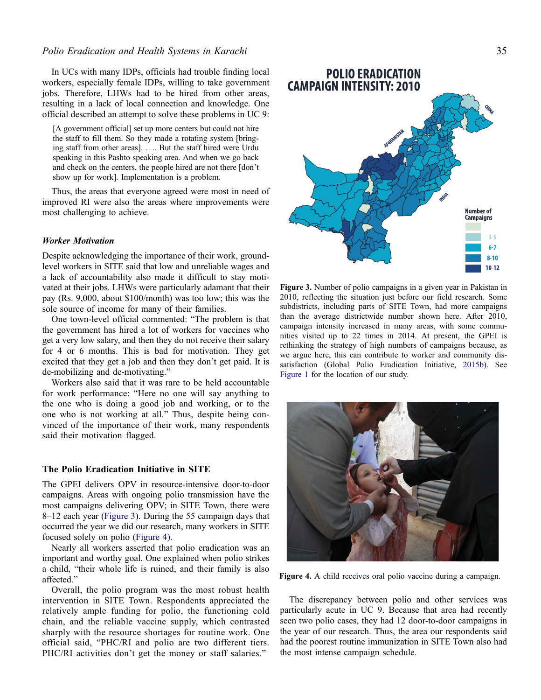### <span id="page-6-0"></span>Polio Eradication and Health Systems in Karachi 35

In UCs with many IDPs, officials had trouble finding local workers, especially female IDPs, willing to take government jobs. Therefore, LHWs had to be hired from other areas, resulting in a lack of local connection and knowledge. One official described an attempt to solve these problems in UC 9:

[A government official] set up more centers but could not hire the staff to fill them. So they made a rotating system [bringing staff from other areas]. . . .. But the staff hired were Urdu speaking in this Pashto speaking area. And when we go back and check on the centers, the people hired are not there [don't show up for work]. Implementation is a problem.

Thus, the areas that everyone agreed were most in need of improved RI were also the areas where improvements were most challenging to achieve.

#### Worker Motivation

Despite acknowledging the importance of their work, groundlevel workers in SITE said that low and unreliable wages and a lack of accountability also made it difficult to stay motivated at their jobs. LHWs were particularly adamant that their pay (Rs. 9,000, about \$100/month) was too low; this was the sole source of income for many of their families.

One town-level official commented: "The problem is that the government has hired a lot of workers for vaccines who get a very low salary, and then they do not receive their salary for 4 or 6 months. This is bad for motivation. They get excited that they get a job and then they don't get paid. It is de-mobilizing and de-motivating."

Workers also said that it was rare to be held accountable for work performance: "Here no one will say anything to the one who is doing a good job and working, or to the one who is not working at all." Thus, despite being convinced of the importance of their work, many respondents said their motivation flagged.

#### The Polio Eradication Initiative in SITE

The GPEI delivers OPV in resource-intensive door-to-door campaigns. Areas with ongoing polio transmission have the most campaigns delivering OPV; in SITE Town, there were 8–12 each year (Figure 3). During the 55 campaign days that occurred the year we did our research, many workers in SITE focused solely on polio (Figure 4).

Nearly all workers asserted that polio eradication was an important and worthy goal. One explained when polio strikes a child, "their whole life is ruined, and their family is also affected."

Overall, the polio program was the most robust health intervention in SITE Town. Respondents appreciated the relatively ample funding for polio, the functioning cold chain, and the reliable vaccine supply, which contrasted sharply with the resource shortages for routine work. One official said, "PHC/RI and polio are two different tiers. PHC/RI activities don't get the money or staff salaries."



Figure 3. Number of polio campaigns in a given year in Pakistan in 2010, reflecting the situation just before our field research. Some subdistricts, including parts of SITE Town, had more campaigns than the average districtwide number shown here. After 2010, campaign intensity increased in many areas, with some communities visited up to 22 times in 2014. At present, the GPEI is rethinking the strategy of high numbers of campaigns because, as we argue here, this can contribute to worker and community dissatisfaction (Global Polio Eradication Initiative, [2015b\)](#page-11-0). See [Figure 1](#page-4-0) for the location of our study.



Figure 4. A child receives oral polio vaccine during a campaign.

The discrepancy between polio and other services was particularly acute in UC 9. Because that area had recently seen two polio cases, they had 12 door-to-door campaigns in the year of our research. Thus, the area our respondents said had the poorest routine immunization in SITE Town also had the most intense campaign schedule.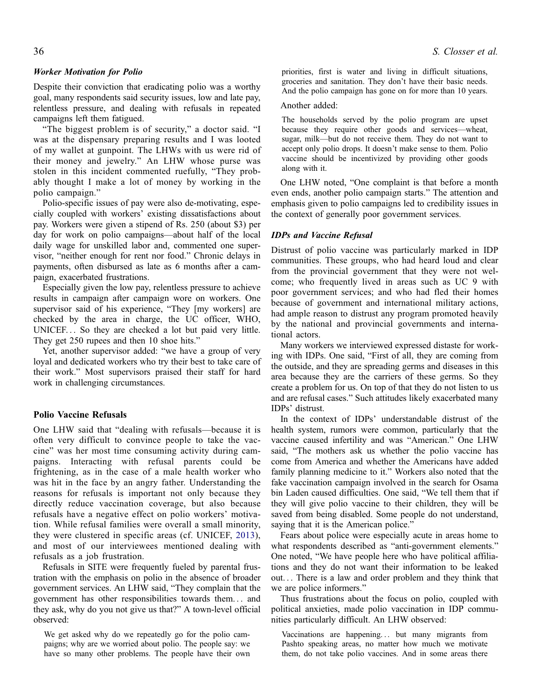#### Worker Motivation for Polio

Despite their conviction that eradicating polio was a worthy goal, many respondents said security issues, low and late pay, relentless pressure, and dealing with refusals in repeated campaigns left them fatigued.

"The biggest problem is of security," a doctor said. "I was at the dispensary preparing results and I was looted of my wallet at gunpoint. The LHWs with us were rid of their money and jewelry." An LHW whose purse was stolen in this incident commented ruefully, "They probably thought I make a lot of money by working in the polio campaign."

Polio-specific issues of pay were also de-motivating, especially coupled with workers' existing dissatisfactions about pay. Workers were given a stipend of Rs. 250 (about \$3) per day for work on polio campaigns—about half of the local daily wage for unskilled labor and, commented one supervisor, "neither enough for rent nor food." Chronic delays in payments, often disbursed as late as 6 months after a campaign, exacerbated frustrations.

Especially given the low pay, relentless pressure to achieve results in campaign after campaign wore on workers. One supervisor said of his experience, "They [my workers] are checked by the area in charge, the UC officer, WHO, UNICEF... So they are checked a lot but paid very little. They get 250 rupees and then 10 shoe hits."

Yet, another supervisor added: "we have a group of very loyal and dedicated workers who try their best to take care of their work." Most supervisors praised their staff for hard work in challenging circumstances.

## Polio Vaccine Refusals

One LHW said that "dealing with refusals—because it is often very difficult to convince people to take the vaccine" was her most time consuming activity during campaigns. Interacting with refusal parents could be frightening, as in the case of a male health worker who was hit in the face by an angry father. Understanding the reasons for refusals is important not only because they directly reduce vaccination coverage, but also because refusals have a negative effect on polio workers' motivation. While refusal families were overall a small minority, they were clustered in specific areas (cf. UNICEF, [2013\)](#page-11-0), and most of our interviewees mentioned dealing with refusals as a job frustration.

Refusals in SITE were frequently fueled by parental frustration with the emphasis on polio in the absence of broader government services. An LHW said, "They complain that the government has other responsibilities towards them. . . and they ask, why do you not give us that?" A town-level official observed:

We get asked why do we repeatedly go for the polio campaigns; why are we worried about polio. The people say: we have so many other problems. The people have their own priorities, first is water and living in difficult situations, groceries and sanitation. They don't have their basic needs. And the polio campaign has gone on for more than 10 years.

#### Another added:

The households served by the polio program are upset because they require other goods and services—wheat, sugar, milk—but do not receive them. They do not want to accept only polio drops. It doesn't make sense to them. Polio vaccine should be incentivized by providing other goods along with it.

One LHW noted, "One complaint is that before a month even ends, another polio campaign starts." The attention and emphasis given to polio campaigns led to credibility issues in the context of generally poor government services.

#### IDPs and Vaccine Refusal

Distrust of polio vaccine was particularly marked in IDP communities. These groups, who had heard loud and clear from the provincial government that they were not welcome; who frequently lived in areas such as UC 9 with poor government services; and who had fled their homes because of government and international military actions, had ample reason to distrust any program promoted heavily by the national and provincial governments and international actors.

Many workers we interviewed expressed distaste for working with IDPs. One said, "First of all, they are coming from the outside, and they are spreading germs and diseases in this area because they are the carriers of these germs. So they create a problem for us. On top of that they do not listen to us and are refusal cases." Such attitudes likely exacerbated many IDPs' distrust.

In the context of IDPs' understandable distrust of the health system, rumors were common, particularly that the vaccine caused infertility and was "American." One LHW said, "The mothers ask us whether the polio vaccine has come from America and whether the Americans have added family planning medicine to it." Workers also noted that the fake vaccination campaign involved in the search for Osama bin Laden caused difficulties. One said, "We tell them that if they will give polio vaccine to their children, they will be saved from being disabled. Some people do not understand, saying that it is the American police."

Fears about police were especially acute in areas home to what respondents described as "anti-government elements." One noted, "We have people here who have political affiliations and they do not want their information to be leaked out... There is a law and order problem and they think that we are police informers."

Thus frustrations about the focus on polio, coupled with political anxieties, made polio vaccination in IDP communities particularly difficult. An LHW observed:

Vaccinations are happening... but many migrants from Pashto speaking areas, no matter how much we motivate them, do not take polio vaccines. And in some areas there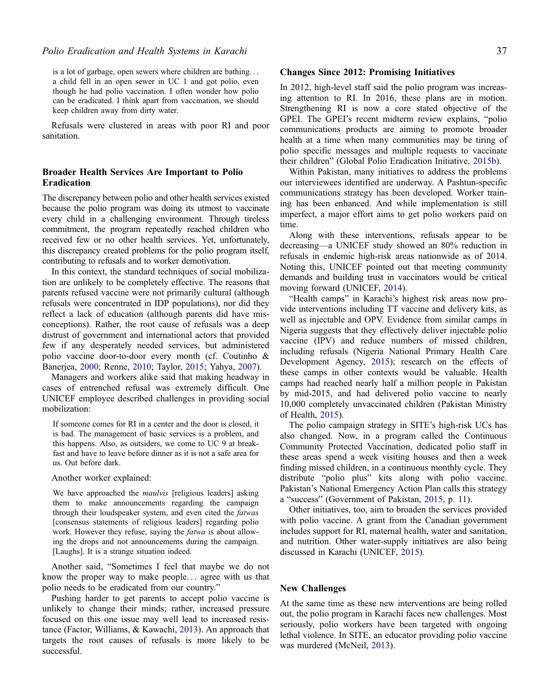is a lot of garbage, open sewers where children are bathing. . . a child fell in an open sewer in UC 1 and got polio, even though he had polio vaccination. I often wonder how polio can be eradicated. I think apart from vaccination, we should keep children away from dirty water.

Refusals were clustered in areas with poor RI and poor sanitation.

## Broader Health Services Are Important to Polio Eradication

The discrepancy between polio and other health services existed because the polio program was doing its utmost to vaccinate every child in a challenging environment. Through tireless commitment, the program repeatedly reached children who received few or no other health services. Yet, unfortunately, this discrepancy created problems for the polio program itself, contributing to refusals and to worker demotivation.

In this context, the standard techniques of social mobilization are unlikely to be completely effective. The reasons that parents refused vaccine were not primarily cultural (although refusals were concentrated in IDP populations), nor did they reflect a lack of education (although parents did have misconceptions). Rather, the root cause of refusals was a deep distrust of government and international actors that provided few if any desperately needed services, but administered polio vaccine door-to-door every month (cf. Coutinho & Banerjea, [2000](#page-11-0); Renne, [2010](#page-11-0); Taylor, [2015](#page-11-0); Yahya, [2007](#page-11-0)).

Managers and workers alike said that making headway in cases of entrenched refusal was extremely difficult. One UNICEF employee described challenges in providing social mobilization:

If someone comes for RI in a center and the door is closed, it is bad. The management of basic services is a problem, and this happens. Also, as outsiders, we come to UC 9 at breakfast and have to leave before dinner as it is not a safe area for us. Out before dark.

Another worker explained:

We have approached the *maulvis* [religious leaders] asking them to make announcements regarding the campaign through their loudspeaker system, and even cited the fatwas [consensus statements of religious leaders] regarding polio work. However they refuse, saying the fatwa is about allowing the drops and not announcements during the campaign. [Laughs]. It is a strange situation indeed.

Another said, "Sometimes I feel that maybe we do not know the proper way to make people. . . agree with us that polio needs to be eradicated from our country."

Pushing harder to get parents to accept polio vaccine is unlikely to change their minds; rather, increased pressure focused on this one issue may well lead to increased resistance (Factor, Williams, & Kawachi, [2013](#page-11-0)). An approach that targets the root causes of refusals is more likely to be successful.

## Changes Since 2012: Promising Initiatives

In 2012, high-level staff said the polio program was increasing attention to RI. In 2016, these plans are in motion. Strengthening RI is now a core stated objective of the GPEI. The GPEI's recent midterm review explains, "polio communications products are aiming to promote broader health at a time when many communities may be tiring of polio specific messages and multiple requests to vaccinate their children" (Global Polio Eradication Initiative, [2015b\)](#page-11-0).

Within Pakistan, many initiatives to address the problems our interviewees identified are underway. A Pashtun-specific communications strategy has been developed. Worker training has been enhanced. And while implementation is still imperfect, a major effort aims to get polio workers paid on time.

Along with these interventions, refusals appear to be decreasing—a UNICEF study showed an 80% reduction in refusals in endemic high-risk areas nationwide as of 2014. Noting this, UNICEF pointed out that meeting community demands and building trust in vaccinators would be critical moving forward (UNICEF, [2014](#page-11-0)).

"Health camps" in Karachi's highest risk areas now provide interventions including TT vaccine and delivery kits, as well as injectable and OPV. Evidence from similar camps in Nigeria suggests that they effectively deliver injectable polio vaccine (IPV) and reduce numbers of missed children, including refusals (Nigeria National Primary Health Care Development Agency, [2015](#page-11-0)); research on the effects of these camps in other contexts would be valuable. Health camps had reached nearly half a million people in Pakistan by mid-2015, and had delivered polio vaccine to nearly 10,000 completely unvaccinated children (Pakistan Ministry of Health, [2015\)](#page-11-0).

The polio campaign strategy in SITE's high-risk UCs has also changed. Now, in a program called the Continuous Community Protected Vaccination, dedicated polio staff in these areas spend a week visiting houses and then a week finding missed children, in a continuous monthly cycle. They distribute "polio plus" kits along with polio vaccine. Pakistan's National Emergency Action Plan calls this strategy a "success" (Government of Pakistan, [2015](#page-11-0), p. 11).

Other initiatives, too, aim to broaden the services provided with polio vaccine. A grant from the Canadian government includes support for RI, maternal health, water and sanitation, and nutrition. Other water-supply initiatives are also being discussed in Karachi (UNICEF, [2015\)](#page-11-0).

## New Challenges

At the same time as these new interventions are being rolled out, the polio program in Karachi faces new challenges. Most seriously, polio workers have been targeted with ongoing lethal violence. In SITE, an educator providing polio vaccine was murdered (McNeil, [2013\)](#page-11-0).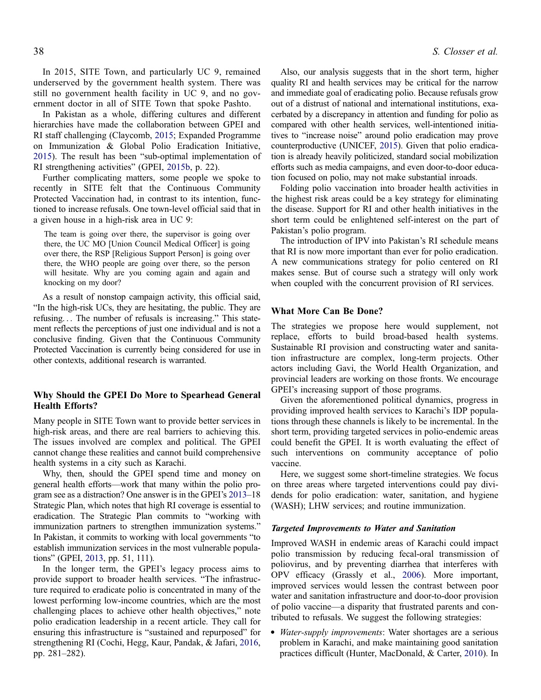In 2015, SITE Town, and particularly UC 9, remained underserved by the government health system. There was still no government health facility in UC 9, and no government doctor in all of SITE Town that spoke Pashto.

In Pakistan as a whole, differing cultures and different hierarchies have made the collaboration between GPEI and RI staff challenging (Claycomb, [2015](#page-10-0); Expanded Programme on Immunization & Global Polio Eradication Initiative, [2015\)](#page-11-0). The result has been "sub-optimal implementation of RI strengthening activities" (GPEI, [2015b](#page-11-0), p. 22).

Further complicating matters, some people we spoke to recently in SITE felt that the Continuous Community Protected Vaccination had, in contrast to its intention, functioned to increase refusals. One town-level official said that in a given house in a high-risk area in UC 9:

The team is going over there, the supervisor is going over there, the UC MO [Union Council Medical Officer] is going over there, the RSP [Religious Support Person] is going over there, the WHO people are going over there, so the person will hesitate. Why are you coming again and again and knocking on my door?

As a result of nonstop campaign activity, this official said, "In the high-risk UCs, they are hesitating, the public. They are refusing. . . The number of refusals is increasing." This statement reflects the perceptions of just one individual and is not a conclusive finding. Given that the Continuous Community Protected Vaccination is currently being considered for use in other contexts, additional research is warranted.

## Why Should the GPEI Do More to Spearhead General Health Efforts?

Many people in SITE Town want to provide better services in high-risk areas, and there are real barriers to achieving this. The issues involved are complex and political. The GPEI cannot change these realities and cannot build comprehensive health systems in a city such as Karachi.

Why, then, should the GPEI spend time and money on general health efforts—work that many within the polio program see as a distraction? One answer is in the GPEI's [2013](#page-11-0)–18 Strategic Plan, which notes that high RI coverage is essential to eradication. The Strategic Plan commits to "working with immunization partners to strengthen immunization systems." In Pakistan, it commits to working with local governments "to establish immunization services in the most vulnerable populations" (GPEI, [2013](#page-11-0), pp. 51, 111).

In the longer term, the GPEI's legacy process aims to provide support to broader health services. "The infrastructure required to eradicate polio is concentrated in many of the lowest performing low-income countries, which are the most challenging places to achieve other health objectives," note polio eradication leadership in a recent article. They call for ensuring this infrastructure is "sustained and repurposed" for strengthening RI (Cochi, Hegg, Kaur, Pandak, & Jafari, [2016](#page-11-0), pp. 281–282).

Also, our analysis suggests that in the short term, higher quality RI and health services may be critical for the narrow and immediate goal of eradicating polio. Because refusals grow out of a distrust of national and international institutions, exacerbated by a discrepancy in attention and funding for polio as compared with other health services, well-intentioned initiatives to "increase noise" around polio eradication may prove counterproductive (UNICEF, [2015](#page-11-0)). Given that polio eradication is already heavily politicized, standard social mobilization efforts such as media campaigns, and even door-to-door education focused on polio, may not make substantial inroads.

Folding polio vaccination into broader health activities in the highest risk areas could be a key strategy for eliminating the disease. Support for RI and other health initiatives in the short term could be enlightened self-interest on the part of Pakistan's polio program.

The introduction of IPV into Pakistan's RI schedule means that RI is now more important than ever for polio eradication. A new communications strategy for polio centered on RI makes sense. But of course such a strategy will only work when coupled with the concurrent provision of RI services.

## What More Can Be Done?

The strategies we propose here would supplement, not replace, efforts to build broad-based health systems. Sustainable RI provision and constructing water and sanitation infrastructure are complex, long-term projects. Other actors including Gavi, the World Health Organization, and provincial leaders are working on those fronts. We encourage GPEI's increasing support of those programs.

Given the aforementioned political dynamics, progress in providing improved health services to Karachi's IDP populations through these channels is likely to be incremental. In the short term, providing targeted services in polio-endemic areas could benefit the GPEI. It is worth evaluating the effect of such interventions on community acceptance of polio vaccine.

Here, we suggest some short-timeline strategies. We focus on three areas where targeted interventions could pay dividends for polio eradication: water, sanitation, and hygiene (WASH); LHW services; and routine immunization.

### Targeted Improvements to Water and Sanitation

Improved WASH in endemic areas of Karachi could impact polio transmission by reducing fecal-oral transmission of poliovirus, and by preventing diarrhea that interferes with OPV efficacy (Grassly et al., [2006\)](#page-11-0). More important, improved services would lessen the contrast between poor water and sanitation infrastructure and door-to-door provision of polio vaccine—a disparity that frustrated parents and contributed to refusals. We suggest the following strategies:

Water-supply improvements: Water shortages are a serious problem in Karachi, and make maintaining good sanitation practices difficult (Hunter, MacDonald, & Carter, [2010\)](#page-11-0). In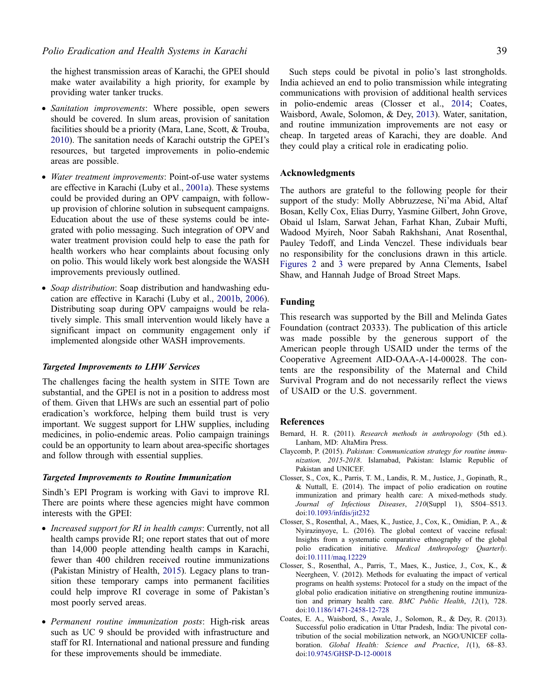<span id="page-10-0"></span>the highest transmission areas of Karachi, the GPEI should make water availability a high priority, for example by providing water tanker trucks.

- Sanitation improvements: Where possible, open sewers should be covered. In slum areas, provision of sanitation facilities should be a priority (Mara, Lane, Scott, & Trouba, [2010](#page-11-0)). The sanitation needs of Karachi outstrip the GPEI's resources, but targeted improvements in polio-endemic areas are possible.
- Water treatment improvements: Point-of-use water systems are effective in Karachi (Luby et al., [2001a](#page-11-0)). These systems could be provided during an OPV campaign, with followup provision of chlorine solution in subsequent campaigns. Education about the use of these systems could be integrated with polio messaging. Such integration of OPV and water treatment provision could help to ease the path for health workers who hear complaints about focusing only on polio. This would likely work best alongside the WASH improvements previously outlined.
- Soap distribution: Soap distribution and handwashing education are effective in Karachi (Luby et al., [2001b,](#page-11-0) [2006\)](#page-11-0). Distributing soap during OPV campaigns would be relatively simple. This small intervention would likely have a significant impact on community engagement only if implemented alongside other WASH improvements.

### Targeted Improvements to LHW Services

The challenges facing the health system in SITE Town are substantial, and the GPEI is not in a position to address most of them. Given that LHWs are such an essential part of polio eradication's workforce, helping them build trust is very important. We suggest support for LHW supplies, including medicines, in polio-endemic areas. Polio campaign trainings could be an opportunity to learn about area-specific shortages and follow through with essential supplies.

#### Targeted Improvements to Routine Immunization

Sindh's EPI Program is working with Gavi to improve RI. There are points where these agencies might have common interests with the GPEI:

- Increased support for RI in health camps: Currently, not all health camps provide RI; one report states that out of more than 14,000 people attending health camps in Karachi, fewer than 400 children received routine immunizations (Pakistan Ministry of Health, [2015](#page-11-0)). Legacy plans to transition these temporary camps into permanent facilities could help improve RI coverage in some of Pakistan's most poorly served areas.
- Permanent routine immunization posts: High-risk areas such as UC 9 should be provided with infrastructure and staff for RI. International and national pressure and funding for these improvements should be immediate.

Such steps could be pivotal in polio's last strongholds. India achieved an end to polio transmission while integrating communications with provision of additional health services in polio-endemic areas (Closser et al., 2014; Coates, Waisbord, Awale, Solomon, & Dey, 2013). Water, sanitation, and routine immunization improvements are not easy or

#### Acknowledgments

The authors are grateful to the following people for their support of the study: Molly Abbruzzese, Ni'ma Abid, Altaf Bosan, Kelly Cox, Elias Durry, Yasmine Gilbert, John Grove, Obaid ul Islam, Sarwat Jehan, Farhat Khan, Zubair Mufti, Wadood Myireh, Noor Sabah Rakhshani, Anat Rosenthal, Pauley Tedoff, and Linda Venczel. These individuals bear no responsibility for the conclusions drawn in this article. [Figures 2](#page-5-0) and [3](#page-6-0) were prepared by Anna Clements, Isabel Shaw, and Hannah Judge of Broad Street Maps.

cheap. In targeted areas of Karachi, they are doable. And

they could play a critical role in eradicating polio.

### Funding

This research was supported by the Bill and Melinda Gates Foundation (contract 20333). The publication of this article was made possible by the generous support of the American people through USAID under the terms of the Cooperative Agreement AID-OAA-A-14-00028. The contents are the responsibility of the Maternal and Child Survival Program and do not necessarily reflect the views of USAID or the U.S. government.

#### References

- Bernard, H. R. (2011). Research methods in anthropology (5th ed.). Lanham, MD: AltaMira Press.
- Claycomb, P. (2015). Pakistan: Communication strategy for routine immunization, 2015-2018. Islamabad, Pakistan: Islamic Republic of Pakistan and UNICEF.
- Closser, S., Cox, K., Parris, T. M., Landis, R. M., Justice, J., Gopinath, R., & Nuttall, E. (2014). The impact of polio eradication on routine immunization and primary health care: A mixed-methods study. Journal of Infectious Diseases, 210(Suppl 1), S504–S513. doi:[10.1093/infdis/jit232](http://dx.doi.org/10.1093/infdis/jit232)
- Closser, S., Rosenthal, A., Maes, K., Justice, J., Cox, K., Omidian, P. A., & Nyirazinyoye, L. (2016). The global context of vaccine refusal: Insights from a systematic comparative ethnography of the global polio eradication initiative. Medical Anthropology Quarterly. doi:[10.1111/maq.12229](http://dx.doi.org/10.1111/maq.12229)
- Closser, S., Rosenthal, A., Parris, T., Maes, K., Justice, J., Cox, K., & Neergheen, V. (2012). Methods for evaluating the impact of vertical programs on health systems: Protocol for a study on the impact of the global polio eradication initiative on strengthening routine immunization and primary health care. BMC Public Health, 12(1), 728. doi:[10.1186/1471-2458-12-728](http://dx.doi.org/10.1186/1471-2458-12-728)
- Coates, E. A., Waisbord, S., Awale, J., Solomon, R., & Dey, R. (2013). Successful polio eradication in Uttar Pradesh, India: The pivotal contribution of the social mobilization network, an NGO/UNICEF collaboration. Global Health: Science and Practice, 1(1), 68-83. doi:[10.9745/GHSP-D-12-00018](http://dx.doi.org/10.9745/GHSP-D-12-00018)